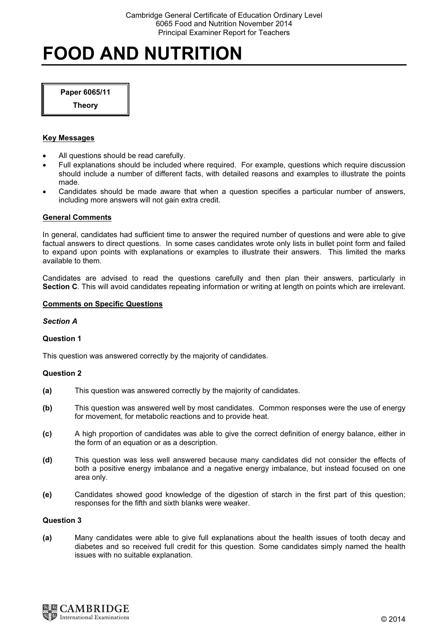# FOOD AND NUTRITION

Paper 6065/11

**Theory** 

# Key Messages

- All questions should be read carefully.
- Full explanations should be included where required. For example, questions which require discussion should include a number of different facts, with detailed reasons and examples to illustrate the points made.
- Candidates should be made aware that when a question specifies a particular number of answers, including more answers will not gain extra credit.

# General Comments

In general, candidates had sufficient time to answer the required number of questions and were able to give factual answers to direct questions. In some cases candidates wrote only lists in bullet point form and failed to expand upon points with explanations or examples to illustrate their answers. This limited the marks available to them.

Candidates are advised to read the questions carefully and then plan their answers, particularly in Section C. This will avoid candidates repeating information or writing at length on points which are irrelevant.

# Comments on Specific Questions

# Section A

# Question 1

This question was answered correctly by the majority of candidates.

# Question 2

- (a) This question was answered correctly by the majority of candidates.
- (b) This question was answered well by most candidates. Common responses were the use of energy for movement, for metabolic reactions and to provide heat.
- (c) A high proportion of candidates was able to give the correct definition of energy balance, either in the form of an equation or as a description.
- (d) This question was less well answered because many candidates did not consider the effects of both a positive energy imbalance and a negative energy imbalance, but instead focused on one area only.
- (e) Candidates showed good knowledge of the digestion of starch in the first part of this question; responses for the fifth and sixth blanks were weaker.

# Question 3

(a) Many candidates were able to give full explanations about the health issues of tooth decay and diabetes and so received full credit for this question. Some candidates simply named the health issues with no suitable explanation.

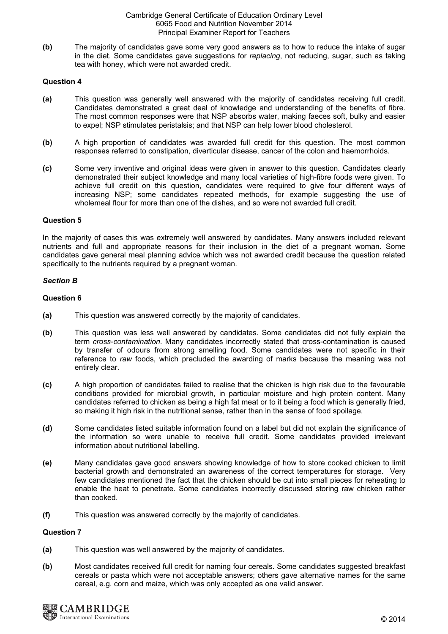(b) The majority of candidates gave some very good answers as to how to reduce the intake of sugar in the diet. Some candidates gave suggestions for *replacing*, not reducing, sugar, such as taking tea with honey, which were not awarded credit.

# Question 4

- (a) This question was generally well answered with the majority of candidates receiving full credit. Candidates demonstrated a great deal of knowledge and understanding of the benefits of fibre. The most common responses were that NSP absorbs water, making faeces soft, bulky and easier to expel; NSP stimulates peristalsis; and that NSP can help lower blood cholesterol.
- (b) A high proportion of candidates was awarded full credit for this question. The most common responses referred to constipation, diverticular disease, cancer of the colon and haemorrhoids.
- (c) Some very inventive and original ideas were given in answer to this question. Candidates clearly demonstrated their subject knowledge and many local varieties of high-fibre foods were given. To achieve full credit on this question, candidates were required to give four different ways of increasing NSP; some candidates repeated methods, for example suggesting the use of wholemeal flour for more than one of the dishes, and so were not awarded full credit.

# Question 5

In the majority of cases this was extremely well answered by candidates. Many answers included relevant nutrients and full and appropriate reasons for their inclusion in the diet of a pregnant woman. Some candidates gave general meal planning advice which was not awarded credit because the question related specifically to the nutrients required by a pregnant woman.

# Section B

# Question 6

- (a) This question was answered correctly by the majority of candidates.
- (b) This question was less well answered by candidates. Some candidates did not fully explain the term cross-contamination. Many candidates incorrectly stated that cross-contamination is caused by transfer of odours from strong smelling food. Some candidates were not specific in their reference to raw foods, which precluded the awarding of marks because the meaning was not entirely clear.
- (c) A high proportion of candidates failed to realise that the chicken is high risk due to the favourable conditions provided for microbial growth, in particular moisture and high protein content. Many candidates referred to chicken as being a high fat meat or to it being a food which is generally fried, so making it high risk in the nutritional sense, rather than in the sense of food spoilage.
- (d) Some candidates listed suitable information found on a label but did not explain the significance of the information so were unable to receive full credit. Some candidates provided irrelevant information about nutritional labelling.
- (e) Many candidates gave good answers showing knowledge of how to store cooked chicken to limit bacterial growth and demonstrated an awareness of the correct temperatures for storage. Very few candidates mentioned the fact that the chicken should be cut into small pieces for reheating to enable the heat to penetrate. Some candidates incorrectly discussed storing raw chicken rather than cooked.
- (f) This question was answered correctly by the majority of candidates.

# Question 7

- (a) This question was well answered by the majority of candidates.
- (b) Most candidates received full credit for naming four cereals. Some candidates suggested breakfast cereals or pasta which were not acceptable answers; others gave alternative names for the same cereal, e.g. corn and maize, which was only accepted as one valid answer.

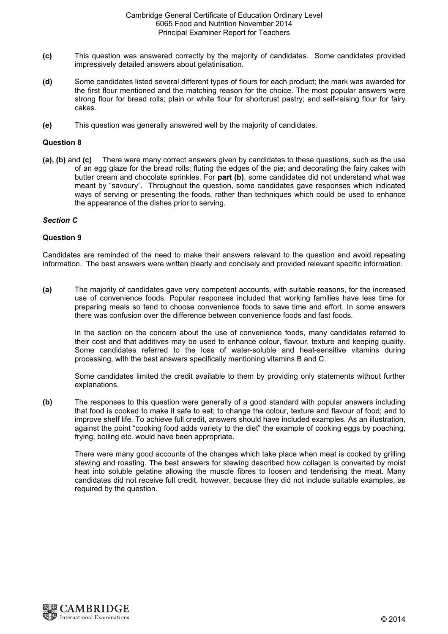- (c) This question was answered correctly by the majority of candidates. Some candidates provided impressively detailed answers about gelatinisation.
- (d) Some candidates listed several different types of flours for each product; the mark was awarded for the first flour mentioned and the matching reason for the choice. The most popular answers were strong flour for bread rolls; plain or white flour for shortcrust pastry; and self-raising flour for fairy cakes.
- (e) This question was generally answered well by the majority of candidates.

# Question 8

(a), (b) and (c) There were many correct answers given by candidates to these questions, such as the use of an egg glaze for the bread rolls; fluting the edges of the pie; and decorating the fairy cakes with butter cream and chocolate sprinkles. For part (b), some candidates did not understand what was meant by "savoury". Throughout the question, some candidates gave responses which indicated ways of serving or presenting the foods, rather than techniques which could be used to enhance the appearance of the dishes prior to serving.

# Section C

# Question 9

Candidates are reminded of the need to make their answers relevant to the question and avoid repeating information. The best answers were written clearly and concisely and provided relevant specific information.

(a) The majority of candidates gave very competent accounts, with suitable reasons, for the increased use of convenience foods. Popular responses included that working families have less time for preparing meals so tend to choose convenience foods to save time and effort. In some answers there was confusion over the difference between convenience foods and fast foods.

 In the section on the concern about the use of convenience foods, many candidates referred to their cost and that additives may be used to enhance colour, flavour, texture and keeping quality. Some candidates referred to the loss of water-soluble and heat-sensitive vitamins during processing, with the best answers specifically mentioning vitamins B and C.

 Some candidates limited the credit available to them by providing only statements without further explanations.

(b) The responses to this question were generally of a good standard with popular answers including that food is cooked to make it safe to eat; to change the colour, texture and flavour of food; and to improve shelf life. To achieve full credit, answers should have included examples. As an illustration, against the point "cooking food adds variety to the diet" the example of cooking eggs by poaching, frying, boiling etc. would have been appropriate.

 There were many good accounts of the changes which take place when meat is cooked by grilling stewing and roasting. The best answers for stewing described how collagen is converted by moist heat into soluble gelatine allowing the muscle fibres to loosen and tenderising the meat. Many candidates did not receive full credit, however, because they did not include suitable examples, as required by the question.

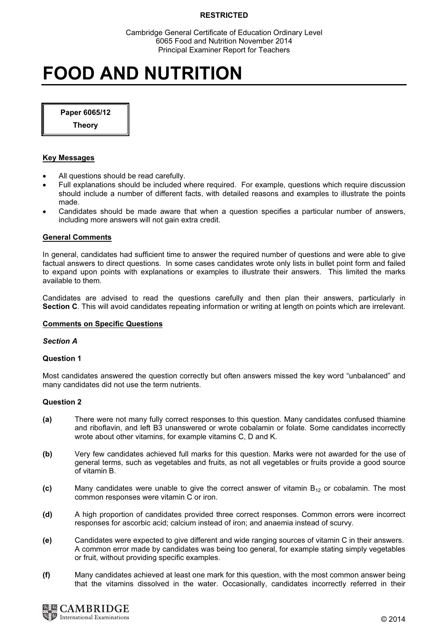Cambridge General Certificate of Education Ordinary Level 6065 Food and Nutrition November 2014 Principal Examiner Report for Teachers

# FOOD AND NUTRITION

Paper 6065/12

Theory

# Key Messages

- All questions should be read carefully.
- Full explanations should be included where required. For example, questions which require discussion should include a number of different facts, with detailed reasons and examples to illustrate the points made.
- Candidates should be made aware that when a question specifies a particular number of answers, including more answers will not gain extra credit.

### General Comments

In general, candidates had sufficient time to answer the required number of questions and were able to give factual answers to direct questions. In some cases candidates wrote only lists in bullet point form and failed to expand upon points with explanations or examples to illustrate their answers. This limited the marks available to them.

Candidates are advised to read the questions carefully and then plan their answers, particularly in Section C. This will avoid candidates repeating information or writing at length on points which are irrelevant.

# Comments on Specific Questions

### Section A

### Question 1

Most candidates answered the question correctly but often answers missed the key word "unbalanced" and many candidates did not use the term nutrients.

# Question 2

- (a) There were not many fully correct responses to this question. Many candidates confused thiamine and riboflavin, and left B3 unanswered or wrote cobalamin or folate. Some candidates incorrectly wrote about other vitamins, for example vitamins C, D and K.
- (b) Very few candidates achieved full marks for this question. Marks were not awarded for the use of general terms, such as vegetables and fruits, as not all vegetables or fruits provide a good source of vitamin B.
- (c) Many candidates were unable to give the correct answer of vitamin  $B_{12}$  or cobalamin. The most common responses were vitamin C or iron.
- (d) A high proportion of candidates provided three correct responses. Common errors were incorrect responses for ascorbic acid; calcium instead of iron; and anaemia instead of scurvy.
- (e) Candidates were expected to give different and wide ranging sources of vitamin C in their answers. A common error made by candidates was being too general, for example stating simply vegetables or fruit, without providing specific examples.
- (f) Many candidates achieved at least one mark for this question, with the most common answer being that the vitamins dissolved in the water. Occasionally, candidates incorrectly referred in their

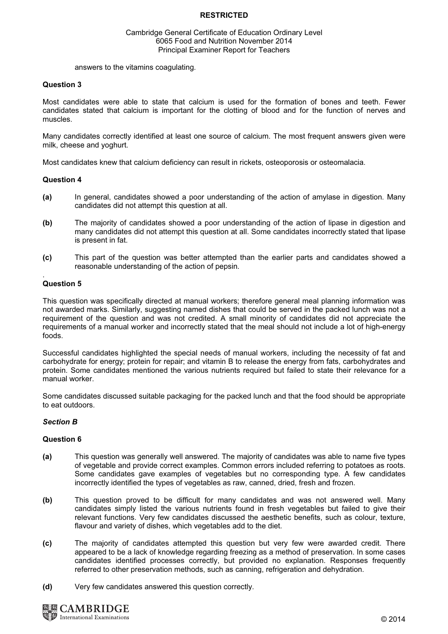## Cambridge General Certificate of Education Ordinary Level 6065 Food and Nutrition November 2014 Principal Examiner Report for Teachers

answers to the vitamins coagulating.

# Question 3

Most candidates were able to state that calcium is used for the formation of bones and teeth. Fewer candidates stated that calcium is important for the clotting of blood and for the function of nerves and muscles.

Many candidates correctly identified at least one source of calcium. The most frequent answers given were milk, cheese and yoghurt.

Most candidates knew that calcium deficiency can result in rickets, osteoporosis or osteomalacia.

# Question 4

- (a) In general, candidates showed a poor understanding of the action of amylase in digestion. Many candidates did not attempt this question at all.
- (b) The majority of candidates showed a poor understanding of the action of lipase in digestion and many candidates did not attempt this question at all. Some candidates incorrectly stated that lipase is present in fat.
- (c) This part of the question was better attempted than the earlier parts and candidates showed a reasonable understanding of the action of pepsin.

#### . Question 5

This question was specifically directed at manual workers; therefore general meal planning information was not awarded marks. Similarly, suggesting named dishes that could be served in the packed lunch was not a requirement of the question and was not credited. A small minority of candidates did not appreciate the requirements of a manual worker and incorrectly stated that the meal should not include a lot of high-energy foods.

Successful candidates highlighted the special needs of manual workers, including the necessity of fat and carbohydrate for energy; protein for repair; and vitamin B to release the energy from fats, carbohydrates and protein. Some candidates mentioned the various nutrients required but failed to state their relevance for a manual worker.

Some candidates discussed suitable packaging for the packed lunch and that the food should be appropriate to eat outdoors.

# Section B

# Question 6

- (a) This question was generally well answered. The majority of candidates was able to name five types of vegetable and provide correct examples. Common errors included referring to potatoes as roots. Some candidates gave examples of vegetables but no corresponding type. A few candidates incorrectly identified the types of vegetables as raw, canned, dried, fresh and frozen.
- (b) This question proved to be difficult for many candidates and was not answered well. Many candidates simply listed the various nutrients found in fresh vegetables but failed to give their relevant functions. Very few candidates discussed the aesthetic benefits, such as colour, texture, flavour and variety of dishes, which vegetables add to the diet.
- (c) The majority of candidates attempted this question but very few were awarded credit. There appeared to be a lack of knowledge regarding freezing as a method of preservation. In some cases candidates identified processes correctly, but provided no explanation. Responses frequently referred to other preservation methods, such as canning, refrigeration and dehydration.
- (d) Very few candidates answered this question correctly.

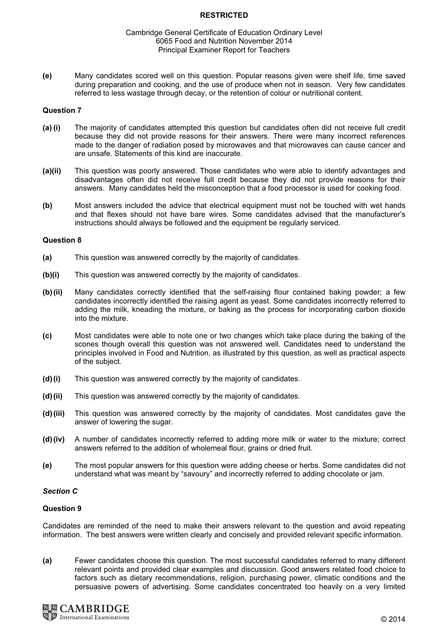### Cambridge General Certificate of Education Ordinary Level 6065 Food and Nutrition November 2014 Principal Examiner Report for Teachers

(e) Many candidates scored well on this question. Popular reasons given were shelf life, time saved during preparation and cooking, and the use of produce when not in season. Very few candidates referred to less wastage through decay, or the retention of colour or nutritional content.

# Question 7

- (a) (i) The majority of candidates attempted this question but candidates often did not receive full credit because they did not provide reasons for their answers. There were many incorrect references made to the danger of radiation posed by microwaves and that microwaves can cause cancer and are unsafe. Statements of this kind are inaccurate.
- (a)(ii) This question was poorly answered. Those candidates who were able to identify advantages and disadvantages often did not receive full credit because they did not provide reasons for their answers. Many candidates held the misconception that a food processor is used for cooking food.
- (b) Most answers included the advice that electrical equipment must not be touched with wet hands and that flexes should not have bare wires. Some candidates advised that the manufacturer's instructions should always be followed and the equipment be regularly serviced.

### Question 8

- (a) This question was answered correctly by the majority of candidates.
- (b)(i) This question was answered correctly by the majority of candidates.
- (b) (ii) Many candidates correctly identified that the self-raising flour contained baking powder; a few candidates incorrectly identified the raising agent as yeast. Some candidates incorrectly referred to adding the milk, kneading the mixture, or baking as the process for incorporating carbon dioxide into the mixture.
- (c) Most candidates were able to note one or two changes which take place during the baking of the scones though overall this question was not answered well. Candidates need to understand the principles involved in Food and Nutrition, as illustrated by this question, as well as practical aspects of the subject.
- (d) (i) This question was answered correctly by the majority of candidates.
- (d) (ii) This question was answered correctly by the majority of candidates.
- (d) (iii) This question was answered correctly by the majority of candidates. Most candidates gave the answer of lowering the sugar.
- (d) (iv) A number of candidates incorrectly referred to adding more milk or water to the mixture; correct answers referred to the addition of wholemeal flour, grains or dried fruit.
- (e) The most popular answers for this question were adding cheese or herbs. Some candidates did not understand what was meant by "savoury" and incorrectly referred to adding chocolate or jam.

# Section C

# Question 9

Candidates are reminded of the need to make their answers relevant to the question and avoid repeating information. The best answers were written clearly and concisely and provided relevant specific information.

(a) Fewer candidates choose this question. The most successful candidates referred to many different relevant points and provided clear examples and discussion. Good answers related food choice to factors such as dietary recommendations, religion, purchasing power, climatic conditions and the persuasive powers of advertising. Some candidates concentrated too heavily on a very limited

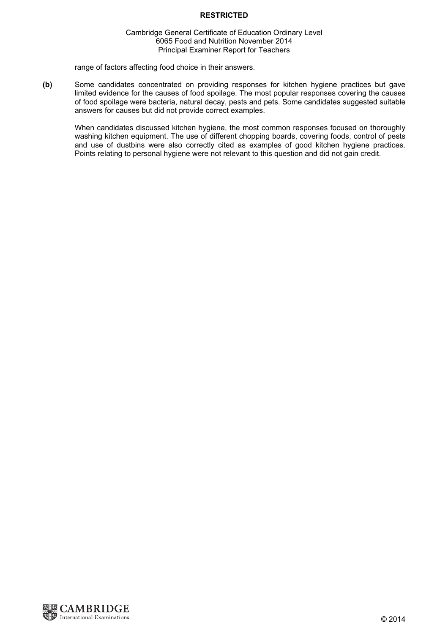# Cambridge General Certificate of Education Ordinary Level 6065 Food and Nutrition November 2014 Principal Examiner Report for Teachers

range of factors affecting food choice in their answers.

(b) Some candidates concentrated on providing responses for kitchen hygiene practices but gave limited evidence for the causes of food spoilage. The most popular responses covering the causes of food spoilage were bacteria, natural decay, pests and pets. Some candidates suggested suitable answers for causes but did not provide correct examples.

When candidates discussed kitchen hygiene, the most common responses focused on thoroughly washing kitchen equipment. The use of different chopping boards, covering foods, control of pests and use of dustbins were also correctly cited as examples of good kitchen hygiene practices. Points relating to personal hygiene were not relevant to this question and did not gain credit.

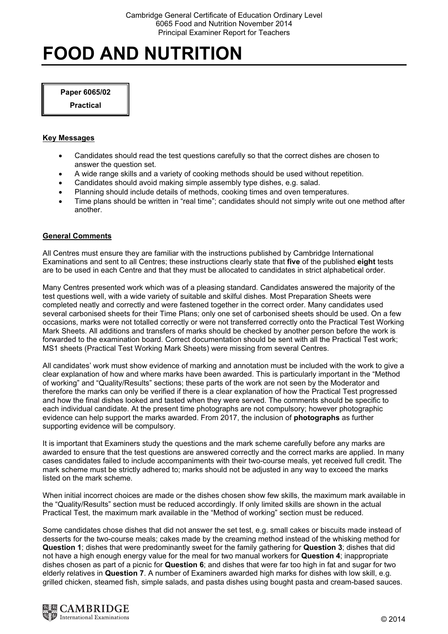# FOOD AND NUTRITION

Paper 6065/02

<u>Practical</u>

# Key Messages

- Candidates should read the test questions carefully so that the correct dishes are chosen to answer the question set.
- A wide range skills and a variety of cooking methods should be used without repetition.
- Candidates should avoid making simple assembly type dishes, e.g. salad.
- Planning should include details of methods, cooking times and oven temperatures.
- Time plans should be written in "real time"; candidates should not simply write out one method after another.

# General Comments

All Centres must ensure they are familiar with the instructions published by Cambridge International Examinations and sent to all Centres; these instructions clearly state that five of the published eight tests are to be used in each Centre and that they must be allocated to candidates in strict alphabetical order.

Many Centres presented work which was of a pleasing standard. Candidates answered the majority of the test questions well, with a wide variety of suitable and skilful dishes. Most Preparation Sheets were completed neatly and correctly and were fastened together in the correct order. Many candidates used several carbonised sheets for their Time Plans; only one set of carbonised sheets should be used. On a few occasions, marks were not totalled correctly or were not transferred correctly onto the Practical Test Working Mark Sheets. All additions and transfers of marks should be checked by another person before the work is forwarded to the examination board. Correct documentation should be sent with all the Practical Test work; MS1 sheets (Practical Test Working Mark Sheets) were missing from several Centres.

All candidates' work must show evidence of marking and annotation must be included with the work to give a clear explanation of how and where marks have been awarded. This is particularly important in the "Method of working" and "Quality/Results" sections; these parts of the work are not seen by the Moderator and therefore the marks can only be verified if there is a clear explanation of how the Practical Test progressed and how the final dishes looked and tasted when they were served. The comments should be specific to each individual candidate. At the present time photographs are not compulsory; however photographic evidence can help support the marks awarded. From 2017, the inclusion of photographs as further supporting evidence will be compulsory.

It is important that Examiners study the questions and the mark scheme carefully before any marks are awarded to ensure that the test questions are answered correctly and the correct marks are applied. In many cases candidates failed to include accompaniments with their two-course meals, yet received full credit. The mark scheme must be strictly adhered to; marks should not be adjusted in any way to exceed the marks listed on the mark scheme.

When initial incorrect choices are made or the dishes chosen show few skills, the maximum mark available in the "Quality/Results" section must be reduced accordingly. If only limited skills are shown in the actual Practical Test, the maximum mark available in the "Method of working" section must be reduced.

Some candidates chose dishes that did not answer the set test, e.g. small cakes or biscuits made instead of desserts for the two-course meals; cakes made by the creaming method instead of the whisking method for Question 1; dishes that were predominantly sweet for the family gathering for Question 3; dishes that did not have a high enough energy value for the meal for two manual workers for Question 4; inappropriate dishes chosen as part of a picnic for **Question 6**; and dishes that were far too high in fat and sugar for two elderly relatives in Question 7. A number of Examiners awarded high marks for dishes with low skill, e.g. grilled chicken, steamed fish, simple salads, and pasta dishes using bought pasta and cream-based sauces.

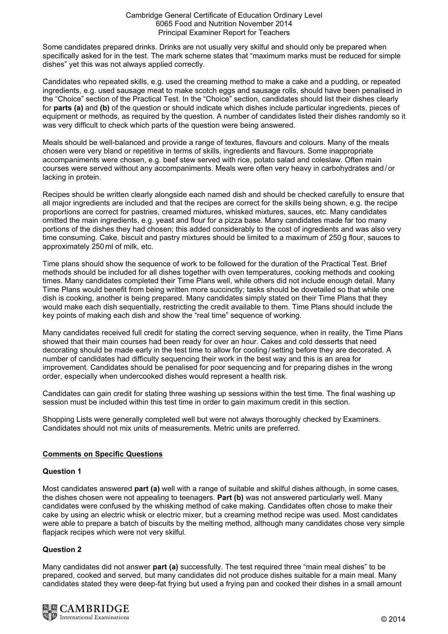Some candidates prepared drinks. Drinks are not usually very skilful and should only be prepared when specifically asked for in the test. The mark scheme states that "maximum marks must be reduced for simple dishes" yet this was not always applied correctly.

Candidates who repeated skills, e.g. used the creaming method to make a cake and a pudding, or repeated ingredients, e.g. used sausage meat to make scotch eggs and sausage rolls, should have been penalised in the "Choice" section of the Practical Test. In the "Choice" section, candidates should list their dishes clearly for parts (a) and (b) of the question or should indicate which dishes include particular ingredients, pieces of equipment or methods, as required by the question. A number of candidates listed their dishes randomly so it was very difficult to check which parts of the question were being answered.

Meals should be well-balanced and provide a range of textures, flavours and colours. Many of the meals chosen were very bland or repetitive in terms of skills, ingredients and flavours. Some inappropriate accompaniments were chosen, e.g. beef stew served with rice, potato salad and coleslaw. Often main courses were served without any accompaniments. Meals were often very heavy in carbohydrates and /or lacking in protein.

Recipes should be written clearly alongside each named dish and should be checked carefully to ensure that all major ingredients are included and that the recipes are correct for the skills being shown, e.g. the recipe proportions are correct for pastries, creamed mixtures, whisked mixtures, sauces, etc. Many candidates omitted the main ingredients, e.g. yeast and flour for a pizza base. Many candidates made far too many portions of the dishes they had chosen; this added considerably to the cost of ingredients and was also very time consuming. Cake, biscuit and pastry mixtures should be limited to a maximum of 250 g flour, sauces to approximately 250 ml of milk, etc.

Time plans should show the sequence of work to be followed for the duration of the Practical Test. Brief methods should be included for all dishes together with oven temperatures, cooking methods and cooking times. Many candidates completed their Time Plans well, while others did not include enough detail. Many Time Plans would benefit from being written more succinctly; tasks should be dovetailed so that while one dish is cooking, another is being prepared. Many candidates simply stated on their Time Plans that they would make each dish sequentially, restricting the credit available to them. Time Plans should include the key points of making each dish and show the "real time" sequence of working.

Many candidates received full credit for stating the correct serving sequence, when in reality, the Time Plans showed that their main courses had been ready for over an hour. Cakes and cold desserts that need decorating should be made early in the test time to allow for cooling / setting before they are decorated. A number of candidates had difficulty sequencing their work in the best way and this is an area for improvement. Candidates should be penalised for poor sequencing and for preparing dishes in the wrong order, especially when undercooked dishes would represent a health risk.

Candidates can gain credit for stating three washing up sessions within the test time. The final washing up session must be included within this test time in order to gain maximum credit in this section.

Shopping Lists were generally completed well but were not always thoroughly checked by Examiners. Candidates should not mix units of measurements. Metric units are preferred.

# Comments on Specific Questions

# Question 1

Most candidates answered part (a) well with a range of suitable and skilful dishes although, in some cases, the dishes chosen were not appealing to teenagers. Part (b) was not answered particularly well. Many candidates were confused by the whisking method of cake making. Candidates often chose to make their cake by using an electric whisk or electric mixer, but a creaming method recipe was used. Most candidates were able to prepare a batch of biscuits by the melting method, although many candidates chose very simple flapjack recipes which were not very skilful.

# $\frac{1}{2}$

Many candidates did not answer part (a) successfully. The test required three "main meal dishes" to be prepared, cooked and served, but many candidates did not produce dishes suitable for a main meal. Many candidates stated they were deep-fat frying but used a frying pan and cooked their dishes in a small amount